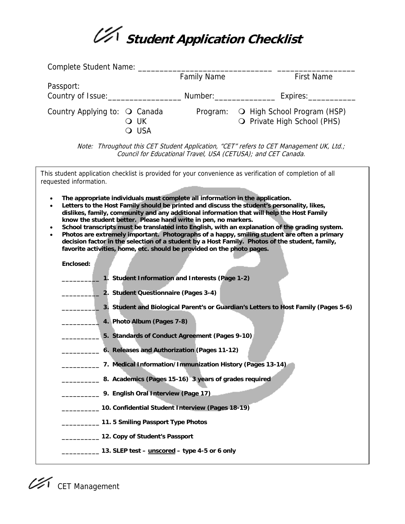

|                               | <b>Family Name</b> | <b>First Name</b>           |
|-------------------------------|--------------------|-----------------------------|
| Passport:                     |                    |                             |
| Country of Issue:             | Number: Number:    | Expires:                    |
| Country Applying to: O Canada | Program:           | O High School Program (HSP) |
| O UK                          |                    | O Private High School (PHS) |
| <b>USA</b>                    |                    |                             |

Note: Throughout this CET Student Application, "CET" refers to CET Management UK, Ltd.; Council for Educational Travel, USA (CETUSA); and CET Canada.

| This student application checklist is provided for your convenience as verification of completion of all<br>requested information.                                                                                                                                                                                                                                                                                                                                                                                                                                                                                                                                                                                                                                                                                                          |
|---------------------------------------------------------------------------------------------------------------------------------------------------------------------------------------------------------------------------------------------------------------------------------------------------------------------------------------------------------------------------------------------------------------------------------------------------------------------------------------------------------------------------------------------------------------------------------------------------------------------------------------------------------------------------------------------------------------------------------------------------------------------------------------------------------------------------------------------|
| The appropriate individuals must complete all information in the application.<br>$\bullet$<br>Letters to the Host Family should be printed and discuss the student's personality, likes,<br>$\bullet$<br>dislikes, family, community and any additional information that will help the Host Family<br>know the student better. Please hand write in pen, no markers.<br>School transcripts must be translated into English, with an explanation of the grading system.<br>$\bullet$<br>Photos are extremely important. Photographs of a happy, smiling student are often a primary<br>$\bullet$<br>decision factor in the selection of a student by a Host Family. Photos of the student, family,<br>favorite activities, home, etc. should be provided on the photo pages.<br>Enclosed:<br>1. Student Information and Interests (Page 1-2) |
| 2. Student Questionnaire (Pages 3-4)                                                                                                                                                                                                                                                                                                                                                                                                                                                                                                                                                                                                                                                                                                                                                                                                        |
| _ 3. Student and Biological Parent's or Guardian's Letters to Host Family (Pages 5-6)                                                                                                                                                                                                                                                                                                                                                                                                                                                                                                                                                                                                                                                                                                                                                       |
| 4. Photo Album (Pages 7-8)<br>5. Standards of Conduct Agreement (Pages 9-10)                                                                                                                                                                                                                                                                                                                                                                                                                                                                                                                                                                                                                                                                                                                                                                |
| _______ 6. Releases and Authorization (Pages 11-12)                                                                                                                                                                                                                                                                                                                                                                                                                                                                                                                                                                                                                                                                                                                                                                                         |
| 7. Medical Information/Immunization History (Pages 13-14)                                                                                                                                                                                                                                                                                                                                                                                                                                                                                                                                                                                                                                                                                                                                                                                   |
| 8. Academics (Pages 15-16) 3 years of grades required                                                                                                                                                                                                                                                                                                                                                                                                                                                                                                                                                                                                                                                                                                                                                                                       |
| 9. English Oral Interview (Page 17)                                                                                                                                                                                                                                                                                                                                                                                                                                                                                                                                                                                                                                                                                                                                                                                                         |
| 10. Confidential Student Interview (Pages 18-19)                                                                                                                                                                                                                                                                                                                                                                                                                                                                                                                                                                                                                                                                                                                                                                                            |
| 11.5 Smiling Passport Type Photos                                                                                                                                                                                                                                                                                                                                                                                                                                                                                                                                                                                                                                                                                                                                                                                                           |
| __________ 12. Copy of Student's Passport                                                                                                                                                                                                                                                                                                                                                                                                                                                                                                                                                                                                                                                                                                                                                                                                   |
| _________ 13. SLEP test - <u>unscored</u> - type 4-5 or 6 only                                                                                                                                                                                                                                                                                                                                                                                                                                                                                                                                                                                                                                                                                                                                                                              |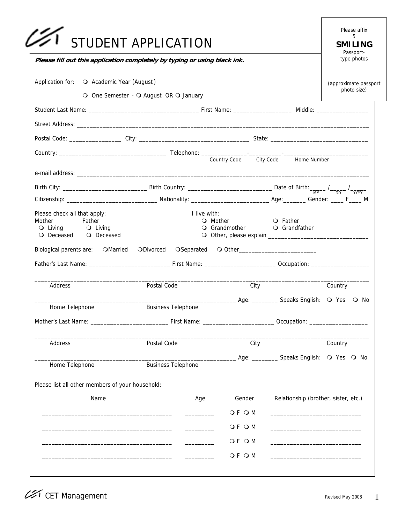| Please fill out this application completely by typing or using black ink.                      | STUDENT APPLICATION                    |                                                  |                                                                            | Please affix<br>5<br><b>SMILING</b><br>Passport-<br>type photos |
|------------------------------------------------------------------------------------------------|----------------------------------------|--------------------------------------------------|----------------------------------------------------------------------------|-----------------------------------------------------------------|
| Application for: O Academic Year (August)                                                      |                                        |                                                  |                                                                            | (approximate passport                                           |
|                                                                                                | O One Semester - O August OR O January |                                                  |                                                                            | photo size)                                                     |
|                                                                                                |                                        |                                                  |                                                                            |                                                                 |
|                                                                                                |                                        |                                                  |                                                                            |                                                                 |
|                                                                                                |                                        |                                                  |                                                                            |                                                                 |
|                                                                                                |                                        |                                                  |                                                                            |                                                                 |
|                                                                                                |                                        |                                                  |                                                                            |                                                                 |
|                                                                                                |                                        |                                                  |                                                                            |                                                                 |
|                                                                                                |                                        |                                                  |                                                                            |                                                                 |
| Please check all that apply:<br>Father<br>Mother<br>Q Living Q Living<br>○ Deceased ○ Deceased | I live with:                           | O Mother O Father<br>O Grandmother O Grandfather |                                                                            |                                                                 |
| Biological parents are: OMarried ODivorced OSeparated O Other __________________               |                                        |                                                  |                                                                            |                                                                 |
| Address                                                                                        | Postal Code                            | City                                             |                                                                            | Country                                                         |
|                                                                                                |                                        | Age: ____________ Speaks English: Q Yes Q No     |                                                                            |                                                                 |
| Home Telephone                                                                                 | <b>Business Telephone</b>              |                                                  |                                                                            |                                                                 |
| Address                                                                                        | Postal Code                            | City                                             |                                                                            | Country                                                         |
| Home Telephone                                                                                 | <b>Business Telephone</b>              |                                                  | Age: ___________ Speaks English: O Yes O No                                |                                                                 |
|                                                                                                |                                        |                                                  |                                                                            |                                                                 |
|                                                                                                |                                        |                                                  |                                                                            |                                                                 |
| Name                                                                                           | Age                                    | Gender                                           | Relationship (brother, sister, etc.)                                       |                                                                 |
|                                                                                                |                                        | O F O M                                          | the control of the control of the control of the control of the control of |                                                                 |
|                                                                                                |                                        | O F O M                                          |                                                                            |                                                                 |
| Please list all other members of your household:                                               |                                        | O F O M                                          |                                                                            |                                                                 |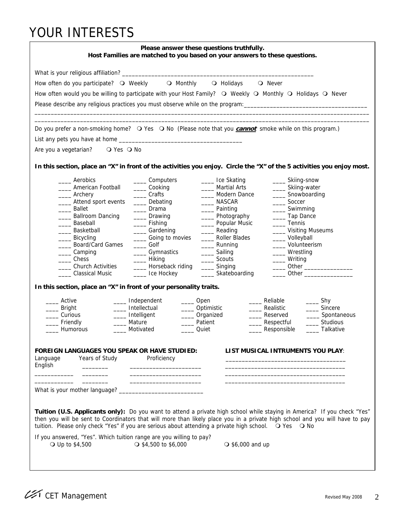### YOUR INTERESTS

| Please answer these questions truthfully.<br>Host Families are matched to you based on your answers to these questions.                        |                                     |                           |                                                                                                                                                                                                                                                          |  |  |  |  |
|------------------------------------------------------------------------------------------------------------------------------------------------|-------------------------------------|---------------------------|----------------------------------------------------------------------------------------------------------------------------------------------------------------------------------------------------------------------------------------------------------|--|--|--|--|
|                                                                                                                                                |                                     |                           |                                                                                                                                                                                                                                                          |  |  |  |  |
| How often do you participate? O Weekly                                                                                                         | O Monthly                           | O Holidays                | <b>O</b> Never                                                                                                                                                                                                                                           |  |  |  |  |
| How often would you be willing to participate with your Host Family? $\bigcirc$ Weekly $\bigcirc$ Monthly $\bigcirc$ Holidays $\bigcirc$ Never |                                     |                           |                                                                                                                                                                                                                                                          |  |  |  |  |
|                                                                                                                                                |                                     |                           |                                                                                                                                                                                                                                                          |  |  |  |  |
|                                                                                                                                                |                                     |                           | Please describe any religious practices you must observe while on the program: _______________________________                                                                                                                                           |  |  |  |  |
| Do you prefer a non-smoking home? O Yes O No (Please note that you <b>cannot</b> smoke while on this program.)                                 |                                     |                           |                                                                                                                                                                                                                                                          |  |  |  |  |
|                                                                                                                                                |                                     |                           |                                                                                                                                                                                                                                                          |  |  |  |  |
| Are you a vegetarian?<br>O Yes O No                                                                                                            |                                     |                           |                                                                                                                                                                                                                                                          |  |  |  |  |
|                                                                                                                                                |                                     |                           |                                                                                                                                                                                                                                                          |  |  |  |  |
|                                                                                                                                                |                                     |                           | In this section, place an "X" in front of the activities you enjoy. Circle the "X" of the 5 activities you enjoy most.                                                                                                                                   |  |  |  |  |
| Aerobics                                                                                                                                       | ____ Computers                      | _____ Ice Skating         | _____ Skiing-snow                                                                                                                                                                                                                                        |  |  |  |  |
| American Football                                                                                                                              | _____ Cooking                       | Martial Arts              | ____ Skiing-water                                                                                                                                                                                                                                        |  |  |  |  |
| ____ Archery                                                                                                                                   | Crafts                              | Modern Dance              | _____ Snowboarding                                                                                                                                                                                                                                       |  |  |  |  |
| __ Attend sport events                                                                                                                         | Debating                            | NASCAR                    | ______ Soccer                                                                                                                                                                                                                                            |  |  |  |  |
| Ballet                                                                                                                                         | Drama<br>$\mathcal{L}^{\text{max}}$ | _____ Painting            | ____ Swimming                                                                                                                                                                                                                                            |  |  |  |  |
| Ballroom Dancing                                                                                                                               | _____ Drawing                       | __ Photography            | ___ Tap Dance                                                                                                                                                                                                                                            |  |  |  |  |
| Baseball                                                                                                                                       | _____ Fishing                       | Dopular Music             | ____ Tennis                                                                                                                                                                                                                                              |  |  |  |  |
| Basketball                                                                                                                                     | __ Gardening                        | Reading                   | ___ Visiting Museums                                                                                                                                                                                                                                     |  |  |  |  |
| _____ Bicycling                                                                                                                                | ____ Going to movies                | Roller Blades             | ___ Volleyball                                                                                                                                                                                                                                           |  |  |  |  |
| Board/Card Games                                                                                                                               | ____ Golf                           | Running                   | ____ Volunteerism                                                                                                                                                                                                                                        |  |  |  |  |
| __ Camping                                                                                                                                     | _____ Gymnastics                    | ___ Sailing               | ____ Wrestling                                                                                                                                                                                                                                           |  |  |  |  |
| Chess                                                                                                                                          | __ Hiking                           | Scouts                    | __ Writing                                                                                                                                                                                                                                               |  |  |  |  |
| <b>Church Activities</b>                                                                                                                       | Horseback riding                    | ____ Singing              | $\overline{\phantom{a}}$ Other $\overline{\phantom{a}}$                                                                                                                                                                                                  |  |  |  |  |
| <b>Classical Music</b>                                                                                                                         | ____ Ice Hockey                     | _____ Skateboarding       | $\overline{\phantom{a}}$ Other $\overline{\phantom{a}}$                                                                                                                                                                                                  |  |  |  |  |
| In this section, place an "X" in front of your personality traits.                                                                             |                                     |                           |                                                                                                                                                                                                                                                          |  |  |  |  |
| Active                                                                                                                                         | __ Independent<br>____ Open         |                           | Reliable<br>$\rule{1em}{0.15mm}$ Shy                                                                                                                                                                                                                     |  |  |  |  |
| __ Bright                                                                                                                                      | Intellectual<br>_____ Optimistic    |                           | Sincere<br>Realistic                                                                                                                                                                                                                                     |  |  |  |  |
| ___ Curious                                                                                                                                    | Intelligent<br>____ Organized       |                           | Reserved<br>Spontaneous                                                                                                                                                                                                                                  |  |  |  |  |
| _ Friendly                                                                                                                                     | Mature<br>Patient                   |                           | Studious<br>Respectful                                                                                                                                                                                                                                   |  |  |  |  |
| _ Humorous                                                                                                                                     | Motivated<br>Quiet                  |                           | ___ Responsible<br>Talkative                                                                                                                                                                                                                             |  |  |  |  |
|                                                                                                                                                |                                     |                           |                                                                                                                                                                                                                                                          |  |  |  |  |
| FOREIGN LANGUAGES YOU SPEAK OR HAVE STUDIED:<br>Years of Study                                                                                 |                                     |                           | LIST MUSICAL INTRUMENTS YOU PLAY:                                                                                                                                                                                                                        |  |  |  |  |
| Language<br>English                                                                                                                            | Proficiency                         |                           |                                                                                                                                                                                                                                                          |  |  |  |  |
|                                                                                                                                                |                                     |                           |                                                                                                                                                                                                                                                          |  |  |  |  |
|                                                                                                                                                |                                     |                           |                                                                                                                                                                                                                                                          |  |  |  |  |
|                                                                                                                                                |                                     |                           |                                                                                                                                                                                                                                                          |  |  |  |  |
|                                                                                                                                                |                                     |                           |                                                                                                                                                                                                                                                          |  |  |  |  |
|                                                                                                                                                |                                     |                           |                                                                                                                                                                                                                                                          |  |  |  |  |
| tuition. Please only check "Yes" if you are serious about attending a private high school. Q Yes Q No                                          |                                     |                           | Tuition (U.S. Applicants only): Do you want to attend a private high school while staying in America? If you check "Yes"<br>then you will be sent to Coordinators that will more than likely place you in a private high school and you will have to pay |  |  |  |  |
|                                                                                                                                                |                                     |                           |                                                                                                                                                                                                                                                          |  |  |  |  |
| If you answered, "Yes". Which tuition range are you willing to pay?<br>○ Up to \$4,500                                                         | $\bigcirc$ \$4,500 to \$6,000       | $\bigcirc$ \$6,000 and up |                                                                                                                                                                                                                                                          |  |  |  |  |
|                                                                                                                                                |                                     |                           |                                                                                                                                                                                                                                                          |  |  |  |  |
|                                                                                                                                                |                                     |                           |                                                                                                                                                                                                                                                          |  |  |  |  |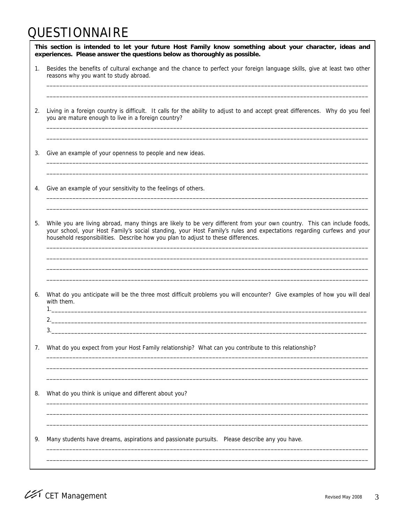### **QUESTIONNAIRE**

|    | This section is intended to let your future Host Family know something about your character, ideas and<br>experiences. Please answer the questions below as thoroughly as possible.                                                                                                                                                   |  |  |  |  |  |  |
|----|---------------------------------------------------------------------------------------------------------------------------------------------------------------------------------------------------------------------------------------------------------------------------------------------------------------------------------------|--|--|--|--|--|--|
| 1. | Besides the benefits of cultural exchange and the chance to perfect your foreign language skills, give at least two other<br>reasons why you want to study abroad.                                                                                                                                                                    |  |  |  |  |  |  |
| 2. | Living in a foreign country is difficult. It calls for the ability to adjust to and accept great differences. Why do you feel<br>you are mature enough to live in a foreign country?                                                                                                                                                  |  |  |  |  |  |  |
| 3. | Give an example of your openness to people and new ideas.                                                                                                                                                                                                                                                                             |  |  |  |  |  |  |
| 4. | Give an example of your sensitivity to the feelings of others.                                                                                                                                                                                                                                                                        |  |  |  |  |  |  |
| 5. | While you are living abroad, many things are likely to be very different from your own country. This can include foods,<br>your school, your Host Family's social standing, your Host Family's rules and expectations regarding curfews and your<br>household responsibilities. Describe how you plan to adjust to these differences. |  |  |  |  |  |  |
|    |                                                                                                                                                                                                                                                                                                                                       |  |  |  |  |  |  |
| 6. | What do you anticipate will be the three most difficult problems you will encounter? Give examples of how you will deal<br>with them.                                                                                                                                                                                                 |  |  |  |  |  |  |
|    | 2.<br>3.                                                                                                                                                                                                                                                                                                                              |  |  |  |  |  |  |
| 7. | What do you expect from your Host Family relationship? What can you contribute to this relationship?                                                                                                                                                                                                                                  |  |  |  |  |  |  |
| 8. | What do you think is unique and different about you?                                                                                                                                                                                                                                                                                  |  |  |  |  |  |  |
| 9. | Many students have dreams, aspirations and passionate pursuits.  Please describe any you have.                                                                                                                                                                                                                                        |  |  |  |  |  |  |
|    |                                                                                                                                                                                                                                                                                                                                       |  |  |  |  |  |  |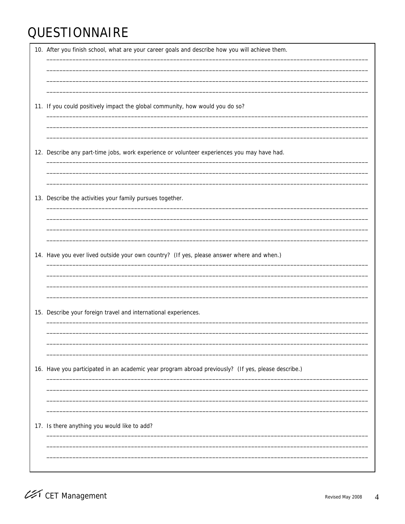# **QUESTIONNAIRE**

| 10. After you finish school, what are your career goals and describe how you will achieve them.     |
|-----------------------------------------------------------------------------------------------------|
| 11. If you could positively impact the global community, how would you do so?                       |
| 12. Describe any part-time jobs, work experience or volunteer experiences you may have had.         |
| 13. Describe the activities your family pursues together.                                           |
| 14. Have you ever lived outside your own country? (If yes, please answer where and when.)           |
|                                                                                                     |
| 15. Describe your foreign travel and international experiences.                                     |
| 16. Have you participated in an academic year program abroad previously? (If yes, please describe.) |
| 17. Is there anything you would like to add?                                                        |
|                                                                                                     |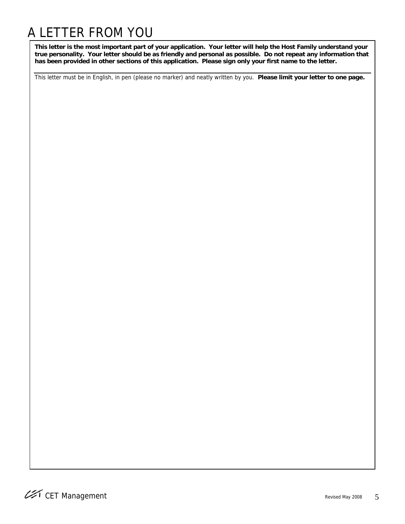## A LETTER FROM YOU

**This letter is the most important part of your application. Your letter will help the Host Family understand your true personality. Your letter should be as friendly and personal as possible. Do not repeat any information that has been provided in other sections of this application. Please sign only your first name to the letter.** 

This letter must be in English, in pen (please no marker) and neatly written by you. **Please limit your letter to one page.**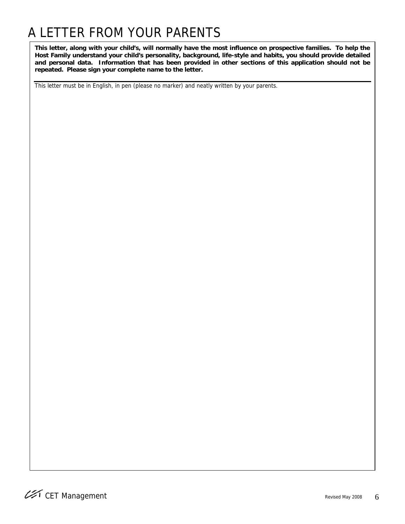# A LETTER FROM YOUR PARENTS

**This letter, along with your child's, will normally have the most influence on prospective families. To help the Host Family understand your child's personality, background, life-style and habits, you should provide detailed and personal data. Information that has been provided in other sections of this application should not be repeated. Please sign your complete name to the letter.** 

This letter must be in English, in pen (please no marker) and neatly written by your parents.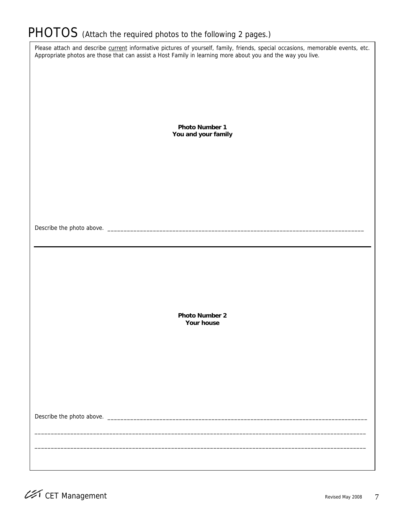# PHOTOS (Attach the required photos to the following 2 pages.)

| Please attach and describe current informative pictures of yourself, family, friends, special occasions, memorable events, etc.<br>Appropriate photos are those that can assist a Host Family in learning more about you and the way you live. |
|------------------------------------------------------------------------------------------------------------------------------------------------------------------------------------------------------------------------------------------------|
|                                                                                                                                                                                                                                                |
|                                                                                                                                                                                                                                                |
|                                                                                                                                                                                                                                                |
| <b>Photo Number 1</b><br>You and your family                                                                                                                                                                                                   |
|                                                                                                                                                                                                                                                |
|                                                                                                                                                                                                                                                |
|                                                                                                                                                                                                                                                |
|                                                                                                                                                                                                                                                |
|                                                                                                                                                                                                                                                |
|                                                                                                                                                                                                                                                |
|                                                                                                                                                                                                                                                |
|                                                                                                                                                                                                                                                |
| <b>Photo Number 2</b>                                                                                                                                                                                                                          |
| Your house                                                                                                                                                                                                                                     |
|                                                                                                                                                                                                                                                |
|                                                                                                                                                                                                                                                |
|                                                                                                                                                                                                                                                |
|                                                                                                                                                                                                                                                |
|                                                                                                                                                                                                                                                |
|                                                                                                                                                                                                                                                |
|                                                                                                                                                                                                                                                |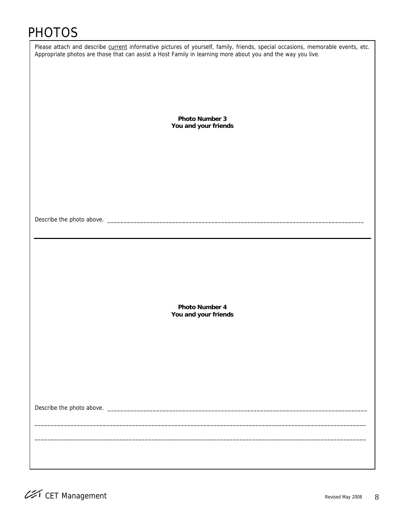### PHOTOS

| Please attach and describe current informative pictures of yourself, family, friends, special occasions, memorable events, etc.<br>Appropriate photos are those that can assist a Host Family in learning more about you and the way you live. |
|------------------------------------------------------------------------------------------------------------------------------------------------------------------------------------------------------------------------------------------------|
|                                                                                                                                                                                                                                                |
|                                                                                                                                                                                                                                                |
|                                                                                                                                                                                                                                                |
|                                                                                                                                                                                                                                                |
| <b>Photo Number 3</b><br>You and your friends                                                                                                                                                                                                  |
|                                                                                                                                                                                                                                                |
|                                                                                                                                                                                                                                                |
|                                                                                                                                                                                                                                                |
|                                                                                                                                                                                                                                                |
|                                                                                                                                                                                                                                                |
|                                                                                                                                                                                                                                                |
|                                                                                                                                                                                                                                                |
|                                                                                                                                                                                                                                                |
|                                                                                                                                                                                                                                                |
|                                                                                                                                                                                                                                                |
|                                                                                                                                                                                                                                                |
|                                                                                                                                                                                                                                                |
|                                                                                                                                                                                                                                                |
| Photo Number 4<br>You and your friends                                                                                                                                                                                                         |
|                                                                                                                                                                                                                                                |
|                                                                                                                                                                                                                                                |
|                                                                                                                                                                                                                                                |
|                                                                                                                                                                                                                                                |
|                                                                                                                                                                                                                                                |
|                                                                                                                                                                                                                                                |
|                                                                                                                                                                                                                                                |
|                                                                                                                                                                                                                                                |
|                                                                                                                                                                                                                                                |
|                                                                                                                                                                                                                                                |
|                                                                                                                                                                                                                                                |
|                                                                                                                                                                                                                                                |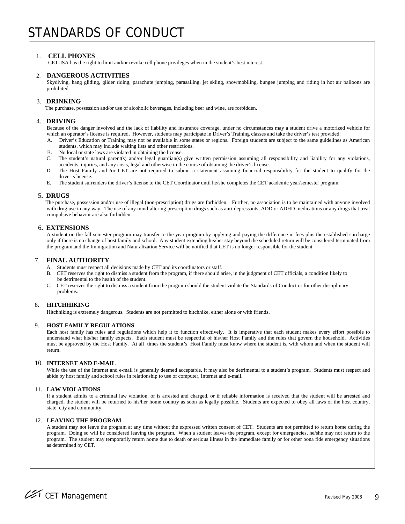#### 1. **CELL PHONES**

CETUSA has the right to limit and/or revoke cell phone privileges when in the student's best interest.

#### 2. **DANGEROUS ACTIVITIES**

Skydiving, hang gliding, glider riding, parachute jumping, parasailing, jet skiing, snowmobiling, bungee jumping and riding in hot air balloons are prohibited.

#### 3. **DRINKING**

The purchase, possession and/or use of alcoholic beverages, including beer and wine, are forbidden.

#### 4. **DRIVING**

Because of the danger involved and the lack of liability and insurance coverage, under no circumstances may a student drive a motorized vehicle for which an operator's license is required. However, students may participate in Driver's Training classes and take the driver's test provided:

- A. Driver's Education or Training may not be available in some states or regions. Foreign students are subject to the same guidelines as American students, which may include waiting lists and other restrictions.
- B. No local or state laws are violated in obtaining the license.
- C. The student's natural parent(s) and/or legal guardian(s) give written permission assuming all responsibility and liability for any violations, accidents, injuries, and any costs, legal and otherwise in the course of obtaining the driver's license.
- D. The Host Family and /or CET are not required to submit a statement assuming financial responsibility for the student to qualify for the driver's license.
- E. The student surrenders the driver's license to the CET Coordinator until he/she completes the CET academic year/semester program.

#### 5**. DRUGS**

 The purchase, possession and/or use of illegal (non-prescription) drugs are forbidden. Further, no association is to be maintained with anyone involved with drug use in any way. The use of any mind-altering prescription drugs such as anti-depressants, ADD or ADHD medications or any drugs that treat compulsive behavior are also forbidden.

#### 6**. EXTENSIONS**

A student on the fall semester program may transfer to the year program by applying and paying the difference in fees plus the established surcharge only if there is no change of host family and school. Any student extending his/her stay beyond the scheduled return will be considered terminated from the program and the Immigration and Naturalization Service will be notified that CET is no longer responsible for the student.

#### 7. **FINAL AUTHORITY**

- A. Students must respect all decisions made by CET and its coordinators or staff.
- B. CET reserves the right to dismiss a student from the program, if there should arise, in the judgment of CET officials, a condition likely to be detrimental to the health of the student.
- C. CET reserves the right to dismiss a student from the program should the student violate the Standards of Conduct or for other disciplinary problems.

#### 8. **HITCHHIKING**

Hitchhiking is extremely dangerous. Students are not permitted to hitchhike, either alone or with friends.

#### 9. **HOST FAMILY REGULATIONS**

Each host family has rules and regulations which help it to function effectively. It is imperative that each student makes every effort possible to understand what his/her family expects. Each student must be respectful of his/her Host Family and the rules that govern the household. Activities must be approved by the Host Family. At all times the student's Host Family must know where the student is, with whom and when the student will return.

#### 10. **INTERNET AND E-MAIL**

While the use of the Internet and e-mail is generally deemed acceptable, it may also be detrimental to a student's program. Students must respect and abide by host family and school rules in relationship to use of computer, Internet and e-mail.

#### 11. **LAW VIOLATIONS**

 If a student admits to a criminal law violation, or is arrested and charged, or if reliable information is received that the student will be arrested and charged, the student will be returned to his/her home country as soon as legally possible. Students are expected to obey all laws of the host country, state, city and community.

#### 12. **LEAVING THE PROGRAM**

A student may not leave the program at any time without the expressed written consent of CET. Students are not permitted to return home during the program. Doing so will be considered leaving the program. When a student leaves the program, except for emergencies, he/she may not return to the program. The student may temporarily return home due to death or serious illness in the immediate family or for other bona fide emergency situations as determined by CET.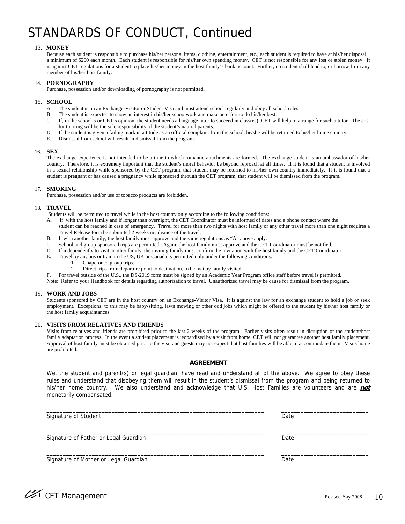### STANDARDS OF CONDUCT, Continued

#### 13. **MONEY**

 Because each student is responsible to purchase his/her personal items, clothing, entertainment, etc., each student is required to have at his/her disposal, a minimum of \$200 each month. Each student is responsible for his/her own spending money. CET is not responsible for any lost or stolen money. It is against CET regulations for a student to place his/her money in the host family's bank account. Further, no student shall lend to, or borrow from any member of his/her host family.

#### 14. **PORNOGRAPHY**

Purchase, possession and/or downloading of pornography is not permitted.

#### 15. **SCHOOL**

- A. The student is on an Exchange-Visitor or Student Visa and must attend school regularly and obey all school rules.
- B. The student is expected to show an interest in his/her schoolwork and make an effort to do his/her best.
- C. If, in the school's or CET's opinion, the student needs a language tutor to succeed in class(es), CET will help to arrange for such a tutor. The cost for tutoring will be the sole responsibility of the student's natural parents.
- D. If the student is given a failing mark in attitude as an official complaint from the school, he/she will be returned to his/her home country.
- E. Dismissal from school will result in dismissal from the program.

#### 16. **SEX**

 The exchange experience is not intended to be a time in which romantic attachments are formed. The exchange student is an ambassador of his/her country. Therefore, it is extremely important that the student's moral behavior be beyond reproach at all times. If it is found that a student is involved in a sexual relationship while sponsored by the CET program, that student may be returned to his/her own country immediately. If it is found that a student is pregnant or has caused a pregnancy while sponsored through the CET program, that student will be dismissed from the program.

#### 17. **SMOKING**

Purchase, possession and/or use of tobacco products are forbidden.

#### 18. **TRAVEL**

Students will be permitted to travel while in the host country only according to the following conditions:

- A. If with the host family and if longer than overnight, the CET Coordinator must be informed of dates and a phone contact where the student can be reached in case of emergency. Travel for more than two nights with host family or any other travel more than one night requires a Travel Release form be submitted 2 weeks in advance of the travel.
- B. If with another family, the host family must approve and the same regulations as "A" above apply.
- C. School and group-sponsored trips are permitted. Again, the host family must approve and the CET Coordinator must be notified.
- D. If independently to visit another family, the inviting family must confirm the invitation with the host family and the CET Coordinator.
- E. Travel by air, bus or train in the US, UK or Canada is permitted only under the following conditions:
	- Chaperoned group trips.
	- 2. Direct trips from departure point to destination, to be met by family visited.

F. For travel outside of the U.S., the DS-2019 form must be signed by an Academic Year Program office staff before travel is permitted.

Note: Refer to your Handbook for details regarding authorization to travel. Unauthorized travel may be cause for dismissal from the program.

#### 19. **WORK AND JOBS**

Students sponsored by CET are in the host country on an Exchange-Visitor Visa. It is against the law for an exchange student to hold a job or seek employment. Exceptions to this may be baby-sitting, lawn mowing or other odd jobs which might be offered to the student by his/her host family or the host family acquaintances.

#### 20**. VISITS FROM RELATIVES AND FRIENDS**

Visits from relatives and friends are prohibited prior to the last 2 weeks of the program. Earlier visits often result in disruption of the student/host family adaptation process. In the event a student placement is jeopardized by a visit from home, CET will not guarantee another host family placement. Approval of host family must be obtained prior to the visit and guests may not expect that host families will be able to accommodate them. Visits home are prohibited.

#### **AGREEMENT**

We, the student and parent(s) or legal guardian, have read and understand all of the above. We agree to obey these rules and understand that disobeying them will result in the student's dismissal from the program and being returned to his/her home country. We also understand and acknowledge that U.S. Host Families are volunteers and are **not** monetarily compensated.

| Signature of Student                  | Date |
|---------------------------------------|------|
| Signature of Father or Legal Guardian | Date |
| Signature of Mother or Legal Guardian | Date |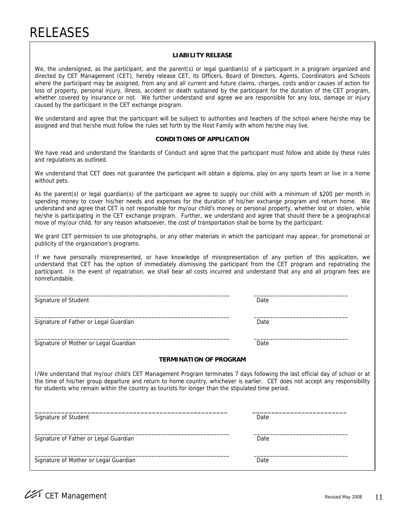#### **LIABILITY RELEASE**

We, the undersigned, as the participant, and the parent(s) or legal guardian(s) of a participant in a program organized and directed by CET Management (CET), hereby release CET, its Officers, Board of Directors, Agents, Coordinators and Schools where the participant may be assigned, from any and all current and future claims, charges, costs and/or causes of action for loss of property, personal injury, illness, accident or death sustained by the participant for the duration of the CET program, whether covered by insurance or not. We further understand and agree we are responsible for any loss, damage or injury caused by the participant in the CET exchange program.

We understand and agree that the participant will be subject to authorities and teachers of the school where he/she may be assigned and that he/she must follow the rules set forth by the Host Family with whom he/she may live.

#### **CONDITIONS OF APPLICATION**

We have read and understand the Standards of Conduct and agree that the participant must follow and abide by these rules and regulations as outlined.

We understand that CET does not guarantee the participant will obtain a diploma, play on any sports team or live in a home without pets.

As the parent(s) or legal guardian(s) of the participant we agree to supply our child with a minimum of \$200 per month in spending money to cover his/her needs and expenses for the duration of his/her exchange program and return home. We understand and agree that CET is not responsible for my/our child's money or personal property, whether lost or stolen, while he/she is participating in the CET exchange program. Further, we understand and agree that should there be a geographical move of my/our child, for any reason whatsoever, the cost of transportation shall be borne by the participant.

We grant CET permission to use photographs, or any other materials in which the participant may appear, for promotional or publicity of the organization's programs.

If we have personally misrepresented, or have knowledge of misrepresentation of any portion of this application, we understand that CET has the option of immediately dismissing the participant from the CET program and repatriating the participant. In the event of repatriation, we shall bear all costs incurred and understand that any and all program fees are nonrefundable.

\_\_\_\_\_\_\_\_\_\_\_\_\_\_\_\_\_\_\_\_\_\_\_\_\_\_\_\_\_\_\_\_\_\_\_\_\_\_\_\_\_\_\_\_\_\_\_\_\_\_\_\_\_\_\_\_\_\_\_\_ \_\_\_\_\_\_\_\_\_\_\_\_\_\_\_\_\_\_\_\_\_\_\_\_\_\_\_\_\_

\_\_\_\_\_\_\_\_\_\_\_\_\_\_\_\_\_\_\_\_\_\_\_\_\_\_\_\_\_\_\_\_\_\_\_\_\_\_\_\_\_\_\_\_\_\_\_\_\_\_\_\_\_\_\_\_\_\_\_\_ \_\_\_\_\_\_\_\_\_\_\_\_\_\_\_\_\_\_\_\_\_\_\_\_\_\_\_\_\_

\_\_\_\_\_\_\_\_\_\_\_\_\_\_\_\_\_\_\_\_\_\_\_\_\_\_\_\_\_\_\_\_\_\_\_\_\_\_\_\_\_\_\_\_\_\_\_\_\_\_\_\_\_\_\_\_\_\_\_\_ \_\_\_\_\_\_\_\_\_\_\_\_\_\_\_\_\_\_\_\_\_\_\_\_\_\_\_\_\_

**\_\_\_\_\_\_\_\_\_\_\_\_\_\_\_\_\_\_\_\_\_\_\_\_\_\_\_\_\_\_\_\_\_\_\_\_\_\_\_\_\_\_\_\_\_\_\_\_\_\_\_ \_\_\_\_\_\_\_\_\_\_\_\_\_\_\_\_\_\_\_\_\_\_\_\_\_** 

Signature of Student Date Communications and Date Date Date Date Date Date

Signature of Father or Legal Guardian Date Controller and Date Date Date Date Date

Signature of Mother or Legal Guardian Date Controller and Date Date Date

#### **TERMINATION OF PROGRAM**

I/We understand that my/our child's CET Management Program terminates 7 days following the last official day of school or at the time of his/her group departure and return to home country, whichever is earlier. CET does not accept any responsibility for students who remain within the country as tourists for longer than the stipulated time period.

Signature of Student Date

Signature of Father or Legal Guardian Date Controller and Date Date Date Date

\_\_\_\_\_\_\_\_\_\_\_\_\_\_\_\_\_\_\_\_\_\_\_\_\_\_\_\_\_\_\_\_\_\_\_\_\_\_\_\_\_\_\_\_\_\_\_\_\_\_\_\_\_\_\_\_\_\_\_\_ \_\_\_\_\_\_\_\_\_\_\_\_\_\_\_\_\_\_\_\_\_\_\_\_\_\_\_\_\_ Signature of Mother or Legal Guardian Date **Date** Date Date

\_\_\_\_\_\_\_\_\_\_\_\_\_\_\_\_\_\_\_\_\_\_\_\_\_\_\_\_\_\_\_\_\_\_\_\_\_\_\_\_\_\_\_\_\_\_\_\_\_\_\_\_\_\_\_\_\_\_\_\_ \_\_\_\_\_\_\_\_\_\_\_\_\_\_\_\_\_\_\_\_\_\_\_\_\_\_\_\_\_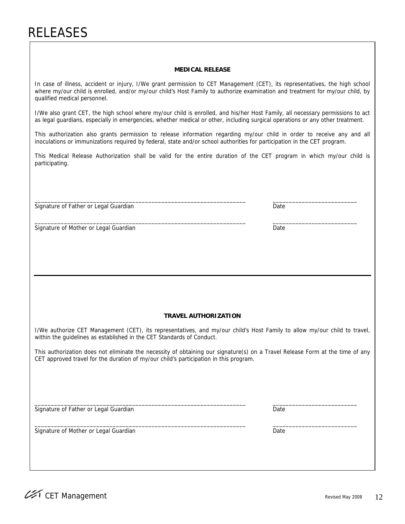#### **MEDICAL RELEASE**

In case of illness, accident or injury, I/We grant permission to CET Management (CET), its representatives, the high school where my/our child is enrolled, and/or my/our child's Host Family to authorize examination and treatment for my/our child, by qualified medical personnel.

I/We also grant CET, the high school where my/our child is enrolled, and his/her Host Family, all necessary permissions to act as legal guardians, especially in emergencies, whether medical or other, including surgical operations or any other treatment.

This authorization also grants permission to release information regarding my/our child in order to receive any and all inoculations or immunizations required by federal, state and/or school authorities for participation in the CET program.

This Medical Release Authorization shall be valid for the entire duration of the CET program in which my/our child is participating.

 $\Box$  . The contribution of the contribution of the contribution of the contribution of the contribution of the contribution of the contribution of the contribution of the contribution of the contribution of the contributi

 $\Box$  . The contribution of the contribution of the contribution of the contribution of the contribution of the contribution of the contribution of the contribution of the contribution of the contribution of the contributi

Signature of Father or Legal Guardian Date Controller and Date Date Date Date Date

Signature of Mother or Legal Guardian Date Controller and Date Date Date Date

#### **TRAVEL AUTHORIZATION**

I/We authorize CET Management (CET), its representatives, and my/our child's Host Family to allow my/our child to travel, within the guidelines as established in the CET Standards of Conduct.

This authorization does not eliminate the necessity of obtaining our signature(s) on a Travel Release Form at the time of any CET approved travel for the duration of my/our child's participation in this program.

 $\_$  , and the set of the set of the set of the set of the set of the set of the set of the set of the set of the set of the set of the set of the set of the set of the set of the set of the set of the set of the set of th

Signature of Father or Legal Guardian Date Controller and Date Date Date Date Date

 $\_$  , and the set of the set of the set of the set of the set of the set of the set of the set of the set of the set of the set of the set of the set of the set of the set of the set of the set of the set of the set of th Signature of Mother or Legal Guardian Date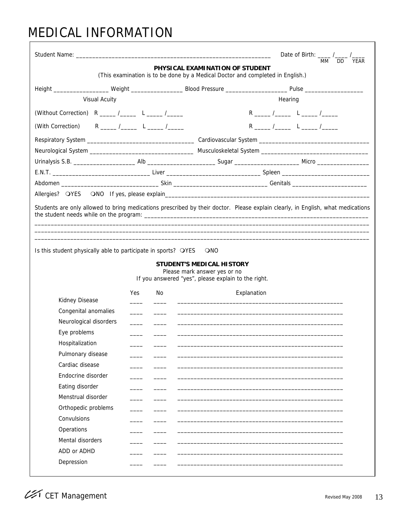### MEDICAL INFORMATION

| Student Name: The Contract of the Contract of the Contract of the Contract of the Contract of the Contract of the Contract of the Contract of the Contract of the Contract of the Contract of the Contract of the Contract of |            |     |                                                                                                                   |             |         |    | Date of Birth: $\frac{1}{2}$ / $\frac{1}{2}$ |  |
|-------------------------------------------------------------------------------------------------------------------------------------------------------------------------------------------------------------------------------|------------|-----|-------------------------------------------------------------------------------------------------------------------|-------------|---------|----|----------------------------------------------|--|
|                                                                                                                                                                                                                               |            |     | PHYSICAL EXAMINATION OF STUDENT<br>(This examination is to be done by a Medical Doctor and completed in English.) |             |         | MM | DD YEAR                                      |  |
|                                                                                                                                                                                                                               |            |     |                                                                                                                   |             |         |    |                                              |  |
| <b>Visual Acuity</b>                                                                                                                                                                                                          |            |     |                                                                                                                   |             | Hearing |    |                                              |  |
| (Without Correction) $R_{\text{max}}/L_{\text{max}}$ L _____ /_____                                                                                                                                                           |            |     |                                                                                                                   |             |         |    |                                              |  |
| (With Correction) $R_{\_}$ /_____ L ____ /_____                                                                                                                                                                               |            |     |                                                                                                                   |             |         |    |                                              |  |
|                                                                                                                                                                                                                               |            |     |                                                                                                                   |             |         |    |                                              |  |
|                                                                                                                                                                                                                               |            |     |                                                                                                                   |             |         |    |                                              |  |
|                                                                                                                                                                                                                               |            |     |                                                                                                                   |             |         |    |                                              |  |
|                                                                                                                                                                                                                               |            |     |                                                                                                                   |             |         |    |                                              |  |
|                                                                                                                                                                                                                               |            |     |                                                                                                                   |             |         |    |                                              |  |
|                                                                                                                                                                                                                               |            |     |                                                                                                                   |             |         |    |                                              |  |
|                                                                                                                                                                                                                               |            |     |                                                                                                                   |             |         |    |                                              |  |
| Is this student physically able to participate in sports? OYES                                                                                                                                                                |            |     | <b>ONO</b><br><b>STUDENT'S MEDICAL HISTORY</b>                                                                    |             |         |    |                                              |  |
|                                                                                                                                                                                                                               |            |     | Please mark answer yes or no<br>If you answered "yes", please explain to the right.                               |             |         |    |                                              |  |
|                                                                                                                                                                                                                               | <b>Yes</b> | No. |                                                                                                                   | Explanation |         |    |                                              |  |
| Kidney Disease                                                                                                                                                                                                                |            |     |                                                                                                                   |             |         |    |                                              |  |
| Congenital anomalies                                                                                                                                                                                                          |            |     |                                                                                                                   |             |         |    |                                              |  |
| Neurological disorders                                                                                                                                                                                                        |            |     |                                                                                                                   |             |         |    |                                              |  |
| Eye problems                                                                                                                                                                                                                  |            |     |                                                                                                                   |             |         |    |                                              |  |
| Hospitalization                                                                                                                                                                                                               |            |     |                                                                                                                   |             |         |    |                                              |  |
| Pulmonary disease<br>Cardiac disease                                                                                                                                                                                          |            |     |                                                                                                                   |             |         |    |                                              |  |
| Endocrine disorder                                                                                                                                                                                                            |            |     |                                                                                                                   |             |         |    |                                              |  |
| Eating disorder                                                                                                                                                                                                               |            |     |                                                                                                                   |             |         |    |                                              |  |
| Menstrual disorder                                                                                                                                                                                                            |            |     |                                                                                                                   |             |         |    |                                              |  |
| Orthopedic problems                                                                                                                                                                                                           |            |     |                                                                                                                   |             |         |    |                                              |  |
| Convulsions                                                                                                                                                                                                                   |            |     |                                                                                                                   |             |         |    |                                              |  |
| Operations                                                                                                                                                                                                                    |            |     |                                                                                                                   |             |         |    |                                              |  |
| Mental disorders                                                                                                                                                                                                              |            |     |                                                                                                                   |             |         |    |                                              |  |
| ADD or ADHD                                                                                                                                                                                                                   |            |     |                                                                                                                   |             |         |    |                                              |  |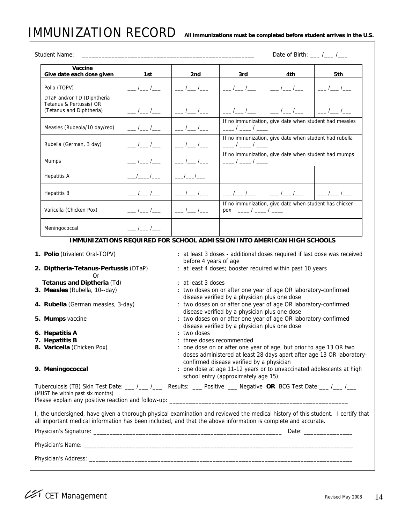### **IMMUNIZATION RECORD**

| All immunizations must be completed before student arrives in the U.S. |  |  |
|------------------------------------------------------------------------|--|--|
|------------------------------------------------------------------------|--|--|

|  | <b>Student Name:</b>                                                                                                                                                                                                                             |               | Date of Birth: $\frac{\ }{\ }$ / ___ / ___ |                                                                                  |                                                                    |                                                                          |  |  |  |
|--|--------------------------------------------------------------------------------------------------------------------------------------------------------------------------------------------------------------------------------------------------|---------------|--------------------------------------------|----------------------------------------------------------------------------------|--------------------------------------------------------------------|--------------------------------------------------------------------------|--|--|--|
|  | Vaccine<br>Give date each dose given                                                                                                                                                                                                             | 1st           | 2nd                                        | 3rd                                                                              | 4th                                                                | 5th                                                                      |  |  |  |
|  | Polio (TOPV)                                                                                                                                                                                                                                     | __ /__ /__    | $\frac{1}{2}$                              | $\frac{1}{\sqrt{2}}$                                                             | $\frac{1}{1-\epsilon}$                                             | $\frac{1}{\sqrt{2}}$                                                     |  |  |  |
|  | DTaP and/or TD (Diphtheria<br>Tetanus & Pertussis) OR<br>(Tetanus and Diphtheria)                                                                                                                                                                | ___ /___ /___ |                                            | $\frac{1}{\sqrt{2}}$                                                             |                                                                    |                                                                          |  |  |  |
|  | Measles (Rubeola/10 day/red)                                                                                                                                                                                                                     |               |                                            | $\frac{\frac{1}{2}}{2}$                                                          | If no immunization, give date when student had measles             |                                                                          |  |  |  |
|  | Rubella (German, 3 day)                                                                                                                                                                                                                          |               |                                            | $\frac{\frac{1}{2}}{2}$                                                          | If no immunization, give date when student had rubella             |                                                                          |  |  |  |
|  | <b>Mumps</b>                                                                                                                                                                                                                                     |               |                                            | $\frac{\frac{1}{2}}{2}$                                                          | If no immunization, give date when student had mumps               |                                                                          |  |  |  |
|  | Hepatitis A                                                                                                                                                                                                                                      |               |                                            |                                                                                  |                                                                    |                                                                          |  |  |  |
|  | <b>Hepatitis B</b>                                                                                                                                                                                                                               |               |                                            |                                                                                  |                                                                    |                                                                          |  |  |  |
|  | Varicella (Chicken Pox)                                                                                                                                                                                                                          |               |                                            | $pos \t -\t/ -\t/ -\t/ -\t$                                                      | If no immunization, give date when student has chicken             |                                                                          |  |  |  |
|  | Meningococcal                                                                                                                                                                                                                                    | $\frac{1}{2}$ |                                            |                                                                                  |                                                                    |                                                                          |  |  |  |
|  | IMMUNIZATIONS REQUIRED FOR SCHOOL ADMISSION INTO AMERICAN HIGH SCHOOLS                                                                                                                                                                           |               |                                            |                                                                                  |                                                                    |                                                                          |  |  |  |
|  | 1. Polio (trivalent Oral-TOPV)                                                                                                                                                                                                                   |               |                                            |                                                                                  |                                                                    | : at least 3 doses - additional doses required if last dose was received |  |  |  |
|  | 2. Diptheria-Tetanus-Pertussis (DTaP)<br>Or                                                                                                                                                                                                      |               | before 4 years of age                      |                                                                                  | : at least 4 doses; booster required within past 10 years          |                                                                          |  |  |  |
|  | Tetanus and Diptheria (Td)<br>3. Measles (Rubella, 10--day)                                                                                                                                                                                      |               | : at least 3 doses                         | disease verified by a physician plus one dose                                    | : two doses on or after one year of age OR laboratory-confirmed    |                                                                          |  |  |  |
|  | 4. Rubella (German measles, 3-day)                                                                                                                                                                                                               |               |                                            | disease verified by a physician plus one dose                                    | : two doses on or after one year of age OR laboratory-confirmed    |                                                                          |  |  |  |
|  | 5. Mumps vaccine                                                                                                                                                                                                                                 |               |                                            | disease verified by a physician plus one dose                                    | : two doses on or after one year of age OR laboratory-confirmed    |                                                                          |  |  |  |
|  | 6. Hepatitis A                                                                                                                                                                                                                                   |               | : two doses                                |                                                                                  |                                                                    |                                                                          |  |  |  |
|  | 7. Hepatitis B<br>8. Varicella (Chicken Pox)                                                                                                                                                                                                     |               | : three doses recommended                  |                                                                                  | : one dose on or after one year of age, but prior to age 13 OR two |                                                                          |  |  |  |
|  |                                                                                                                                                                                                                                                  |               |                                            |                                                                                  |                                                                    | doses administered at least 28 days apart after age 13 OR laboratory-    |  |  |  |
|  | 9. Meningococcal                                                                                                                                                                                                                                 |               |                                            | confirmed disease verified by a physician<br>school entry (approximately age 15) |                                                                    | : one dose at age 11-12 years or to unvaccinated adolescents at high     |  |  |  |
|  | Tuberculosis (TB) Skin Test Date: __/_/__/___ Results: __Positive ___ Negative OR BCG Test Date: __/__/__<br>(MUST be within past six months)                                                                                                    |               |                                            |                                                                                  |                                                                    |                                                                          |  |  |  |
|  |                                                                                                                                                                                                                                                  |               |                                            |                                                                                  |                                                                    |                                                                          |  |  |  |
|  | I, the undersigned, have given a thorough physical examination and reviewed the medical history of this student. I certify that<br>all important medical information has been included, and that the above information is complete and accurate. |               |                                            |                                                                                  |                                                                    |                                                                          |  |  |  |
|  |                                                                                                                                                                                                                                                  |               |                                            |                                                                                  |                                                                    |                                                                          |  |  |  |
|  |                                                                                                                                                                                                                                                  |               |                                            |                                                                                  |                                                                    |                                                                          |  |  |  |
|  |                                                                                                                                                                                                                                                  |               |                                            |                                                                                  |                                                                    |                                                                          |  |  |  |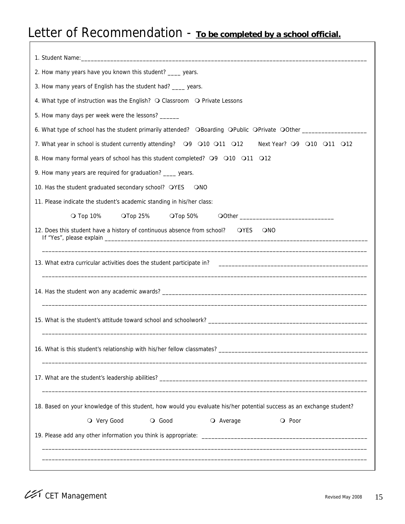### Letter of Recommendation - To be completed by a school official.

| 2. How many years have you known this student? ____ years.<br>3. How many years of English has the student had? ____ years.<br>4. What type of instruction was the English? O Classroom O Private Lessons |
|-----------------------------------------------------------------------------------------------------------------------------------------------------------------------------------------------------------|
|                                                                                                                                                                                                           |
|                                                                                                                                                                                                           |
|                                                                                                                                                                                                           |
|                                                                                                                                                                                                           |
| 5. How many days per week were the lessons? ______                                                                                                                                                        |
| 6. What type of school has the student primarily attended? OBoarding OPublic OPrivate OOther ________________                                                                                             |
| 7. What year in school is student currently attending?  Q9  Q10  Q11  Q12<br>Next Year? 09 010 011 012                                                                                                    |
| 8. How many formal years of school has this student completed? O9 O10 O11 O12                                                                                                                             |
| 9. How many years are required for graduation? ____ years.                                                                                                                                                |
| 10. Has the student graduated secondary school? OYES<br><b>ONO</b>                                                                                                                                        |
| 11. Please indicate the student's academic standing in his/her class:                                                                                                                                     |
| O Top 10%<br>$\overline{\mathrm{O}}$ Top 50%<br>$\overline{\mathrm{O}}$ Top 25%                                                                                                                           |
| 12. Does this student have a history of continuous absence from school?<br>OYES<br><b>ONO</b>                                                                                                             |
|                                                                                                                                                                                                           |
|                                                                                                                                                                                                           |
|                                                                                                                                                                                                           |
|                                                                                                                                                                                                           |
|                                                                                                                                                                                                           |
| 18. Based on your knowledge of this student, how would you evaluate his/her potential success as an exchange student?                                                                                     |
| O Very Good<br>O Good<br>O Average<br>O Poor                                                                                                                                                              |
|                                                                                                                                                                                                           |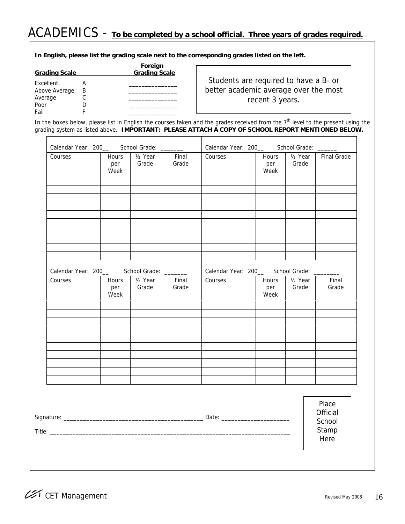# ACADEMICS - **To be completed by a school official. Three years of grades required.**

 **In English, please list the grading scale next to the corresponding grades listed on the left.** 

| <b>Grading Scale</b> |   | Foreign<br><b>Grading Scale</b> |
|----------------------|---|---------------------------------|
|                      |   |                                 |
| Excellent            |   |                                 |
| Above Average        | B |                                 |
| Average              |   |                                 |
| Poor                 |   |                                 |
| Fail                 |   |                                 |

Students are required to have a B- or better academic average over the most recent 3 years.

In the boxes below, please list in English the courses taken and the grades received from the  $7<sup>th</sup>$  level to the present using the grading system as listed above. **IMPORTANT: PLEASE ATTACH A COPY OF SCHOOL REPORT MENTIONED BELOW.** 

| Calendar Year: 200_ School Grade: ______  |                      |                               |                | Calendar Year: 200_ School Grade: _____   |                      |                               |                         |
|-------------------------------------------|----------------------|-------------------------------|----------------|-------------------------------------------|----------------------|-------------------------------|-------------------------|
| Courses                                   | Hours<br>per<br>Week | 1/ <sub>2</sub> Year<br>Grade | Final<br>Grade | Courses                                   | Hours<br>per<br>Week | 1/ <sub>2</sub> Year<br>Grade | <b>Final Grade</b>      |
|                                           |                      |                               |                |                                           |                      |                               |                         |
|                                           |                      |                               |                |                                           |                      |                               |                         |
|                                           |                      |                               |                |                                           |                      |                               |                         |
| Calendar Year: 200__ School Grade: ______ |                      |                               |                | Calendar Year: 200_ School Grade: _______ |                      |                               |                         |
| Courses                                   | Hours<br>per<br>Week | $1/2$ Year<br>Grade           | Final<br>Grade | Courses                                   | Hours<br>per<br>Week | $1/2$ Year<br>Grade           | Final<br>Grade          |
|                                           |                      |                               |                |                                           |                      |                               |                         |
|                                           |                      |                               |                |                                           |                      |                               |                         |
|                                           |                      |                               |                |                                           |                      |                               |                         |
|                                           |                      |                               |                |                                           |                      |                               |                         |
|                                           |                      |                               |                |                                           |                      |                               | Place<br>Official       |
|                                           |                      |                               |                |                                           |                      |                               | School<br>Stamp<br>Here |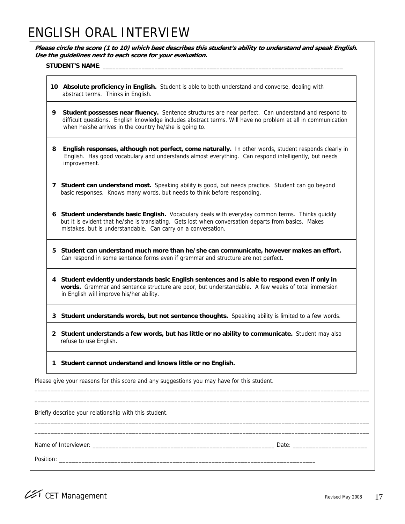### ENGLISH ORAL INTERVIEW

**Please circle the score (1 to 10) which best describes this student's ability to understand and speak English. Use the guidelines next to each score for your evaluation.** 

#### STUDENT'S NAME: \_\_\_\_\_\_\_

- **10 Absolute proficiency in English.** Student is able to both understand and converse, dealing with abstract terms. Thinks in English.
- **9 Student possesses near fluency.** Sentence structures are near perfect. Can understand and respond to difficult questions. English knowledge includes abstract terms. Will have no problem at all in communication when he/she arrives in the country he/she is going to.
- **8 English responses, although not perfect, come naturally.** In other words, student responds clearly in English. Has good vocabulary and understands almost everything. Can respond intelligently, but needs improvement.
- **7 Student can understand most.** Speaking ability is good, but needs practice. Student can go beyond basic responses. Knows many words, but needs to think before responding.
- **6 Student understands basic English.** Vocabulary deals with everyday common terms. Thinks quickly but it is evident that he/she is translating. Gets lost when conversation departs from basics. Makes mistakes, but is understandable. Can carry on a conversation.
- **5 Student can understand much more than he/she can communicate, however makes an effort.**  Can respond in some sentence forms even if grammar and structure are not perfect.
- **4 Student evidently understands basic English sentences and is able to respond even if only in words.** Grammar and sentence structure are poor, but understandable. A few weeks of total immersion in English will improve his/her ability.

**3 Student understands words, but not sentence thoughts.** Speaking ability is limited to a few words.

 **2 Student understands a few words, but has little or no ability to communicate.** Student may also refuse to use English.

\_\_\_\_\_\_\_\_\_\_\_\_\_\_\_\_\_\_\_\_\_\_\_\_\_\_\_\_\_\_\_\_\_\_\_\_\_\_\_\_\_\_\_\_\_\_\_\_\_\_\_\_\_\_\_\_\_\_\_\_\_\_\_\_\_\_\_\_\_\_\_\_\_\_\_\_\_\_\_\_\_\_\_\_\_\_\_\_\_\_\_\_\_\_\_\_\_\_\_\_\_\_\_ \_\_\_\_\_\_\_\_\_\_\_\_\_\_\_\_\_\_\_\_\_\_\_\_\_\_\_\_\_\_\_\_\_\_\_\_\_\_\_\_\_\_\_\_\_\_\_\_\_\_\_\_\_\_\_\_\_\_\_\_\_\_\_\_\_\_\_\_\_\_\_\_\_\_\_\_\_\_\_\_\_\_\_\_\_\_\_\_\_\_\_\_\_\_\_\_\_\_\_\_\_\_\_

\_\_\_\_\_\_\_\_\_\_\_\_\_\_\_\_\_\_\_\_\_\_\_\_\_\_\_\_\_\_\_\_\_\_\_\_\_\_\_\_\_\_\_\_\_\_\_\_\_\_\_\_\_\_\_\_\_\_\_\_\_\_\_\_\_\_\_\_\_\_\_\_\_\_\_\_\_\_\_\_\_\_\_\_\_\_\_\_\_\_\_\_\_\_\_\_\_\_\_\_\_\_\_ \_\_\_\_\_\_\_\_\_\_\_\_\_\_\_\_\_\_\_\_\_\_\_\_\_\_\_\_\_\_\_\_\_\_\_\_\_\_\_\_\_\_\_\_\_\_\_\_\_\_\_\_\_\_\_\_\_\_\_\_\_\_\_\_\_\_\_\_\_\_\_\_\_\_\_\_\_\_\_\_\_\_\_\_\_\_\_\_\_\_\_\_\_\_\_\_\_\_\_\_\_\_\_

 **1 Student cannot understand and knows little or no English.** 

Please give your reasons for this score and any suggestions you may have for this student.

Briefly describe your relationship with this student.

Name of Interviewer: \_\_\_\_\_\_\_\_\_\_\_\_\_\_\_\_\_\_\_\_\_\_\_\_\_\_\_\_\_\_\_\_\_\_\_\_\_\_\_\_\_\_\_\_\_\_\_\_\_\_\_\_\_\_\_\_ Date: \_\_\_\_\_\_\_\_\_\_\_\_\_\_\_\_\_\_\_\_\_\_\_

Position: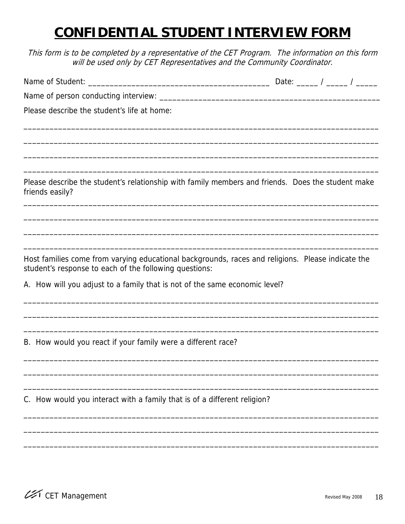### **CONFIDENTIAL STUDENT INTERVIEW FORM**

This form is to be completed by a representative of the CET Program. The information on this form will be used only by CET Representatives and the Community Coordinator.

|                                                                                                                                                             |                                                                                                                    |  | Date: _____ / _____ / _____ |
|-------------------------------------------------------------------------------------------------------------------------------------------------------------|--------------------------------------------------------------------------------------------------------------------|--|-----------------------------|
| Name of person conducting interview: ___________                                                                                                            | <u> 1989 - Johann John Stone, mars eta bat eta bat eta bat eta bat ez arteko harta zen bat ez arteko harta zen</u> |  |                             |
| Please describe the student's life at home:                                                                                                                 |                                                                                                                    |  |                             |
|                                                                                                                                                             |                                                                                                                    |  |                             |
| Please describe the student's relationship with family members and friends. Does the student make                                                           |                                                                                                                    |  |                             |
| friends easily?                                                                                                                                             |                                                                                                                    |  |                             |
|                                                                                                                                                             |                                                                                                                    |  |                             |
| Host families come from varying educational backgrounds, races and religions. Please indicate the<br>student's response to each of the following questions: |                                                                                                                    |  |                             |
| A. How will you adjust to a family that is not of the same economic level?                                                                                  |                                                                                                                    |  |                             |
| B. How would you react if your family were a different race?                                                                                                |                                                                                                                    |  |                             |
|                                                                                                                                                             |                                                                                                                    |  |                             |
| C. How would you interact with a family that is of a different religion?                                                                                    |                                                                                                                    |  |                             |

\_\_\_\_\_\_\_\_\_\_\_\_\_\_\_\_\_\_\_\_\_\_\_\_\_\_\_\_\_\_\_\_\_\_\_\_\_\_\_\_\_\_\_\_\_\_\_\_\_\_\_\_\_\_\_\_\_\_\_\_\_\_\_\_\_\_\_\_\_\_\_\_\_\_\_\_\_\_\_\_\_\_